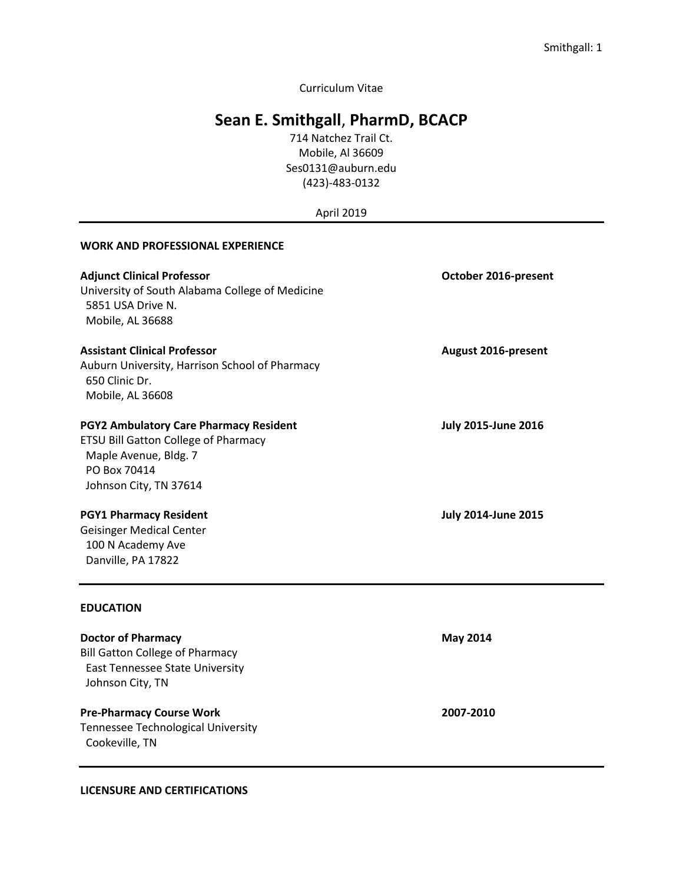Curriculum Vitae

## **Sean E. Smithgall**, **PharmD, BCACP**

714 Natchez Trail Ct. Mobile, Al 36609 Ses0131@auburn.edu (423)-483-0132

April 2019

#### **WORK AND PROFESSIONAL EXPERIENCE**

| <b>Adjunct Clinical Professor</b><br>University of South Alabama College of Medicine<br>5851 USA Drive N.<br>Mobile, AL 36688 | October 2016-present       |
|-------------------------------------------------------------------------------------------------------------------------------|----------------------------|
| <b>Assistant Clinical Professor</b>                                                                                           | <b>August 2016-present</b> |
| Auburn University, Harrison School of Pharmacy<br>650 Clinic Dr.                                                              |                            |
| Mobile, AL 36608                                                                                                              |                            |
| <b>PGY2 Ambulatory Care Pharmacy Resident</b>                                                                                 | <b>July 2015-June 2016</b> |
| <b>ETSU Bill Gatton College of Pharmacy</b>                                                                                   |                            |
| Maple Avenue, Bldg. 7                                                                                                         |                            |
| PO Box 70414                                                                                                                  |                            |
| Johnson City, TN 37614                                                                                                        |                            |
| <b>PGY1 Pharmacy Resident</b>                                                                                                 | <b>July 2014-June 2015</b> |
| <b>Geisinger Medical Center</b>                                                                                               |                            |
| 100 N Academy Ave                                                                                                             |                            |
| Danville, PA 17822                                                                                                            |                            |
| <b>EDUCATION</b>                                                                                                              |                            |
| <b>Doctor of Pharmacy</b>                                                                                                     | <b>May 2014</b>            |
| <b>Bill Gatton College of Pharmacy</b>                                                                                        |                            |
| East Tennessee State University                                                                                               |                            |
| Johnson City, TN                                                                                                              |                            |

**Pre-Pharmacy Course Work 2007-2010** Tennessee Technological University Cookeville, TN

**LICENSURE AND CERTIFICATIONS**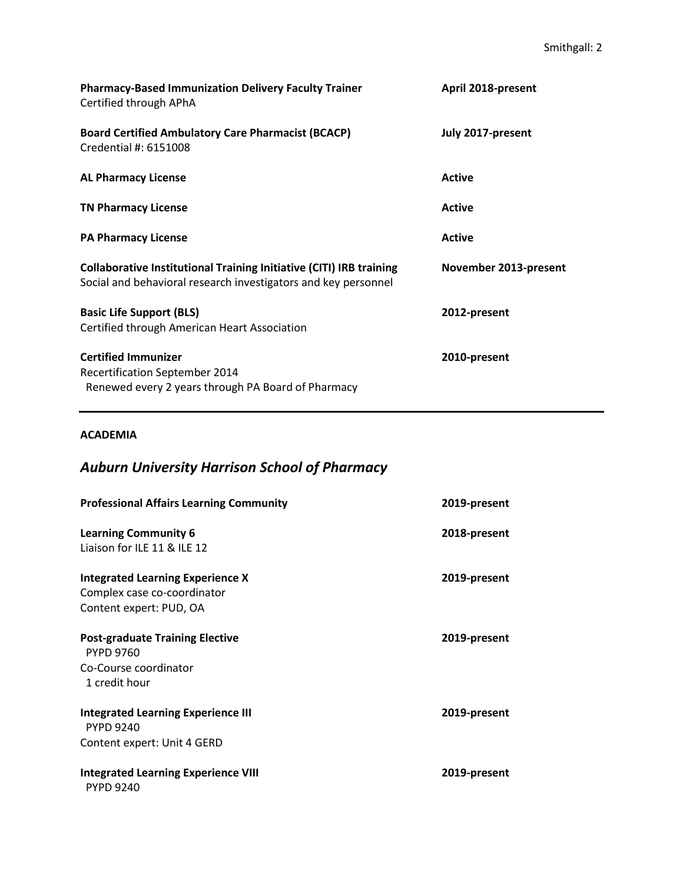| <b>Pharmacy-Based Immunization Delivery Faculty Trainer</b><br>Certified through APhA                                                        | April 2018-present    |
|----------------------------------------------------------------------------------------------------------------------------------------------|-----------------------|
| <b>Board Certified Ambulatory Care Pharmacist (BCACP)</b><br>Credential #: 6151008                                                           | July 2017-present     |
| <b>AL Pharmacy License</b>                                                                                                                   | <b>Active</b>         |
| <b>TN Pharmacy License</b>                                                                                                                   | <b>Active</b>         |
| <b>PA Pharmacy License</b>                                                                                                                   | <b>Active</b>         |
| <b>Collaborative Institutional Training Initiative (CITI) IRB training</b><br>Social and behavioral research investigators and key personnel | November 2013-present |
| <b>Basic Life Support (BLS)</b><br>Certified through American Heart Association                                                              | 2012-present          |
| <b>Certified Immunizer</b><br><b>Recertification September 2014</b><br>Renewed every 2 years through PA Board of Pharmacy                    | 2010-present          |

### **ACADEMIA**

# *Auburn University Harrison School of Pharmacy*

| <b>Professional Affairs Learning Community</b>                                                                | 2019-present |
|---------------------------------------------------------------------------------------------------------------|--------------|
| <b>Learning Community 6</b><br>Liaison for ILE 11 & ILE 12                                                    | 2018-present |
| <b>Integrated Learning Experience X</b><br>Complex case co-coordinator<br>Content expert: PUD, OA             | 2019-present |
| <b>Post-graduate Training Elective</b><br><b>PYPD 9760</b><br>Co-Course coordinator                           | 2019-present |
| 1 credit hour<br><b>Integrated Learning Experience III</b><br><b>PYPD 9240</b><br>Content expert: Unit 4 GERD | 2019-present |
| <b>Integrated Learning Experience VIII</b><br><b>PYPD 9240</b>                                                | 2019-present |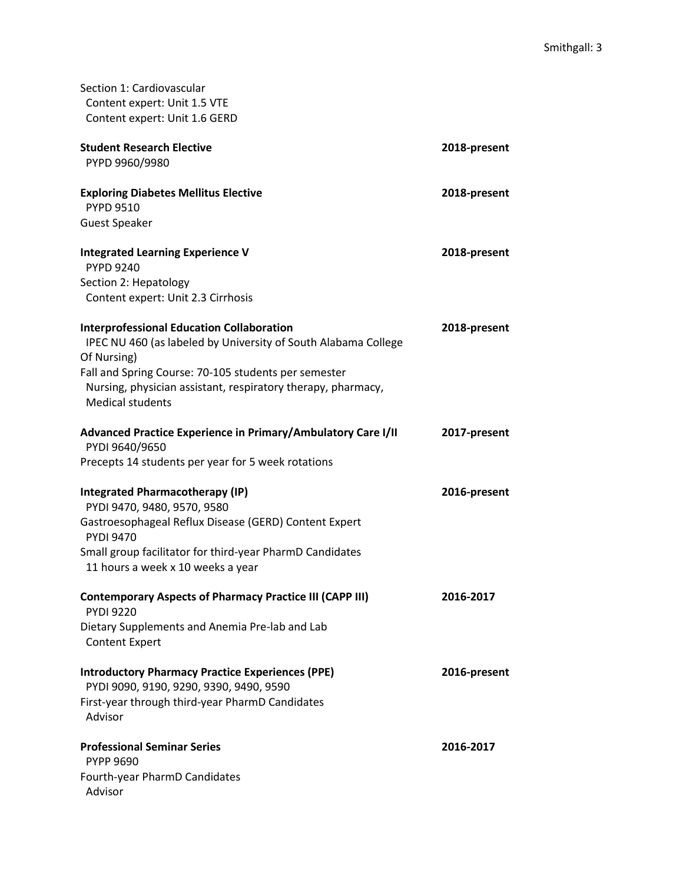| Section 1: Cardiovascular<br>Content expert: Unit 1.5 VTE<br>Content expert: Unit 1.6 GERD                                                      |              |
|-------------------------------------------------------------------------------------------------------------------------------------------------|--------------|
| <b>Student Research Elective</b><br>PYPD 9960/9980                                                                                              | 2018-present |
| <b>Exploring Diabetes Mellitus Elective</b><br><b>PYPD 9510</b>                                                                                 | 2018-present |
| <b>Guest Speaker</b>                                                                                                                            |              |
| <b>Integrated Learning Experience V</b><br><b>PYPD 9240</b>                                                                                     | 2018-present |
| Section 2: Hepatology<br>Content expert: Unit 2.3 Cirrhosis                                                                                     |              |
| <b>Interprofessional Education Collaboration</b><br>IPEC NU 460 (as labeled by University of South Alabama College<br>Of Nursing)               | 2018-present |
| Fall and Spring Course: 70-105 students per semester<br>Nursing, physician assistant, respiratory therapy, pharmacy,<br><b>Medical students</b> |              |
| Advanced Practice Experience in Primary/Ambulatory Care I/II<br>PYDI 9640/9650                                                                  | 2017-present |
| Precepts 14 students per year for 5 week rotations                                                                                              |              |
| <b>Integrated Pharmacotherapy (IP)</b><br>PYDI 9470, 9480, 9570, 9580<br>Gastroesophageal Reflux Disease (GERD) Content Expert                  | 2016-present |
| <b>PYDI 9470</b>                                                                                                                                |              |
| Small group facilitator for third-year PharmD Candidates<br>11 hours a week x 10 weeks a year                                                   |              |
| <b>Contemporary Aspects of Pharmacy Practice III (CAPP III)</b><br><b>PYDI 9220</b>                                                             | 2016-2017    |
| Dietary Supplements and Anemia Pre-lab and Lab<br><b>Content Expert</b>                                                                         |              |
| <b>Introductory Pharmacy Practice Experiences (PPE)</b><br>PYDI 9090, 9190, 9290, 9390, 9490, 9590                                              | 2016-present |
| First-year through third-year PharmD Candidates<br>Advisor                                                                                      |              |
| <b>Professional Seminar Series</b><br><b>PYPP 9690</b>                                                                                          | 2016-2017    |
| Fourth-year PharmD Candidates<br>Advisor                                                                                                        |              |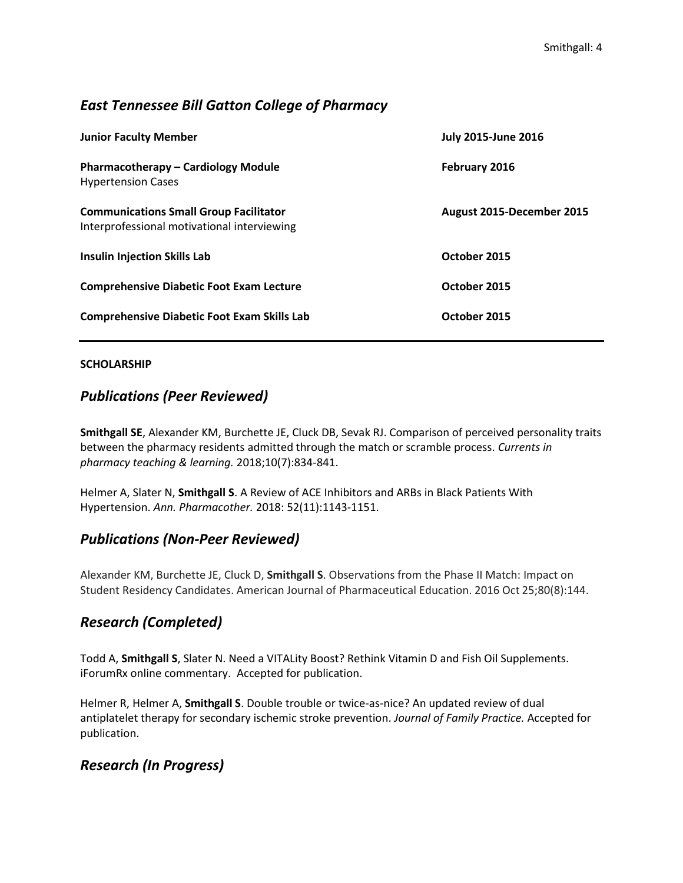## *East Tennessee Bill Gatton College of Pharmacy*

| <b>Junior Faculty Member</b>                                                                 | <b>July 2015-June 2016</b> |
|----------------------------------------------------------------------------------------------|----------------------------|
| <b>Pharmacotherapy - Cardiology Module</b><br><b>Hypertension Cases</b>                      | February 2016              |
| <b>Communications Small Group Facilitator</b><br>Interprofessional motivational interviewing | August 2015-December 2015  |
| <b>Insulin Injection Skills Lab</b>                                                          | October 2015               |
| <b>Comprehensive Diabetic Foot Exam Lecture</b>                                              | October 2015               |
| <b>Comprehensive Diabetic Foot Exam Skills Lab</b>                                           | October 2015               |

#### **SCHOLARSHIP**

## *Publications (Peer Reviewed)*

**Smithgall SE**, Alexander KM, Burchette JE, Cluck DB, Sevak RJ. Comparison of perceived personality traits between the pharmacy residents admitted through the match or scramble process. *Currents in pharmacy teaching & learning.* 2018;10(7):834-841.

Helmer A, Slater N, **Smithgall S**. A Review of ACE Inhibitors and ARBs in Black Patients With Hypertension. *Ann. Pharmacother.* 2018: 52(11):1143-1151.

## *Publications (Non-Peer Reviewed)*

Alexander KM, Burchette JE, Cluck D, **Smithgall S**. Observations from the Phase II Match: Impact on Student Residency Candidates. American Journal of Pharmaceutical Education. 2016 Oct 25;80(8):144.

## *Research (Completed)*

Todd A, **Smithgall S**, Slater N. Need a VITALity Boost? Rethink Vitamin D and Fish Oil Supplements. iForumRx online commentary. Accepted for publication.

Helmer R, Helmer A, **Smithgall S**. Double trouble or twice-as-nice? An updated review of dual antiplatelet therapy for secondary ischemic stroke prevention. *Journal of Family Practice.* Accepted for publication.

## *Research (In Progress)*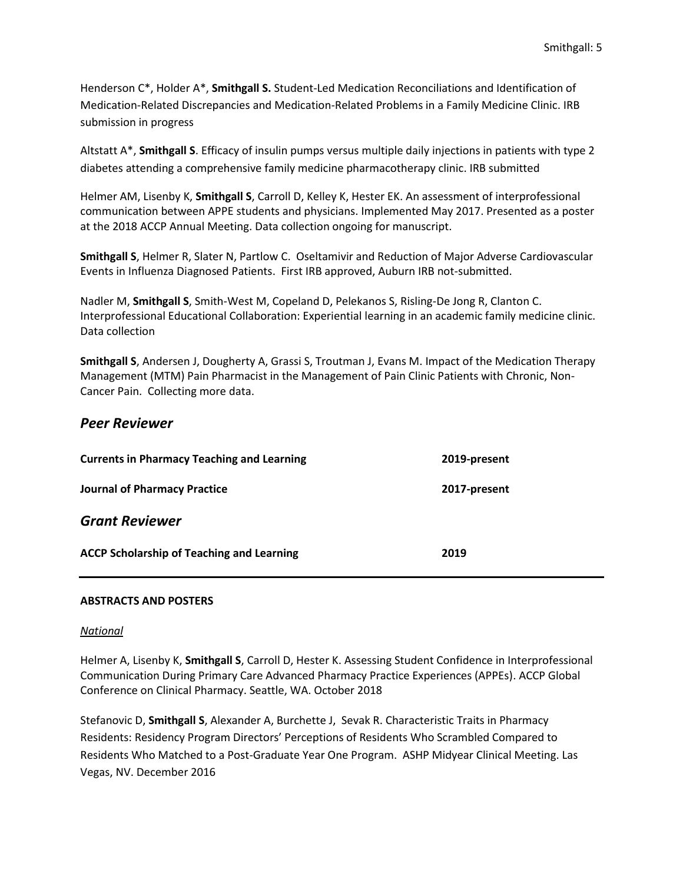Henderson C\*, Holder A\*, **Smithgall S.** Student-Led Medication Reconciliations and Identification of Medication-Related Discrepancies and Medication-Related Problems in a Family Medicine Clinic. IRB submission in progress

Altstatt A\*, **Smithgall S**. Efficacy of insulin pumps versus multiple daily injections in patients with type 2 diabetes attending a comprehensive family medicine pharmacotherapy clinic. IRB submitted

Helmer AM, Lisenby K, **Smithgall S**, Carroll D, Kelley K, Hester EK. An assessment of interprofessional communication between APPE students and physicians. Implemented May 2017. Presented as a poster at the 2018 ACCP Annual Meeting. Data collection ongoing for manuscript.

**Smithgall S**, Helmer R, Slater N, Partlow C. Oseltamivir and Reduction of Major Adverse Cardiovascular Events in Influenza Diagnosed Patients. First IRB approved, Auburn IRB not-submitted.

Nadler M, **Smithgall S**, Smith-West M, Copeland D, Pelekanos S, Risling-De Jong R, Clanton C. Interprofessional Educational Collaboration: Experiential learning in an academic family medicine clinic. Data collection

**Smithgall S**, Andersen J, Dougherty A, Grassi S, Troutman J, Evans M. Impact of the Medication Therapy Management (MTM) Pain Pharmacist in the Management of Pain Clinic Patients with Chronic, Non-Cancer Pain. Collecting more data.

### *Peer Reviewer*

| <b>Currents in Pharmacy Teaching and Learning</b> | 2019-present |
|---------------------------------------------------|--------------|
| <b>Journal of Pharmacy Practice</b>               | 2017-present |
| <b>Grant Reviewer</b>                             |              |
| <b>ACCP Scholarship of Teaching and Learning</b>  | 2019         |

#### **ABSTRACTS AND POSTERS**

#### *National*

Helmer A, Lisenby K, **Smithgall S**, Carroll D, Hester K. Assessing Student Confidence in Interprofessional Communication During Primary Care Advanced Pharmacy Practice Experiences (APPEs). ACCP Global Conference on Clinical Pharmacy. Seattle, WA. October 2018

Stefanovic D, **Smithgall S**, Alexander A, Burchette J, Sevak R. Characteristic Traits in Pharmacy Residents: Residency Program Directors' Perceptions of Residents Who Scrambled Compared to Residents Who Matched to a Post-Graduate Year One Program. ASHP Midyear Clinical Meeting. Las Vegas, NV. December 2016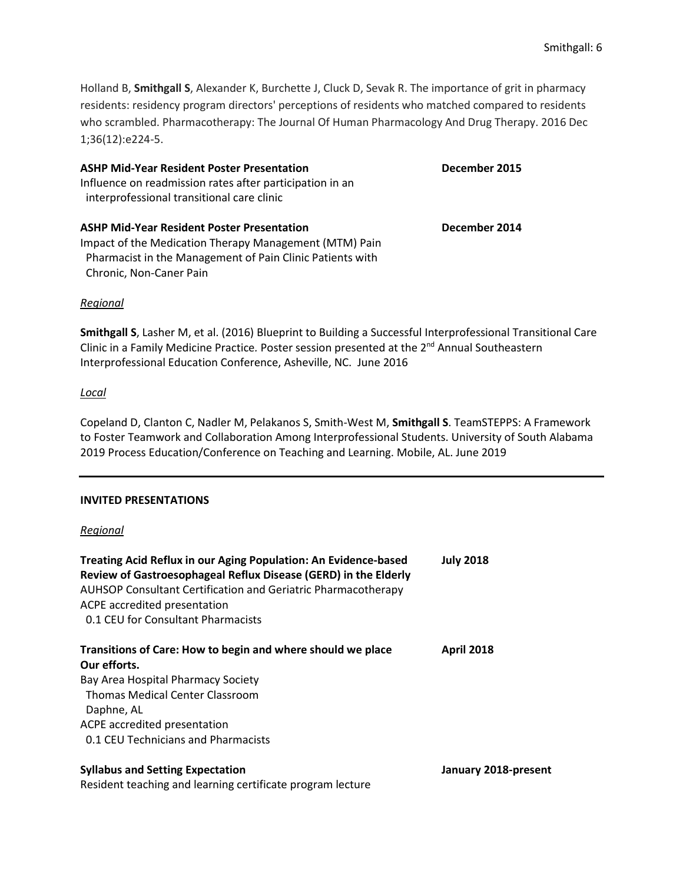Holland B, **Smithgall S**, Alexander K, Burchette J, Cluck D, Sevak R. The importance of grit in pharmacy residents: residency program directors' perceptions of residents who matched compared to residents who scrambled. Pharmacotherapy: The Journal Of Human Pharmacology And Drug Therapy. 2016 Dec 1;36(12):e224-5.

| <b>ASHP Mid-Year Resident Poster Presentation</b><br>Influence on readmission rates after participation in an<br>interprofessional transitional care clinic | December 2015 |  |
|-------------------------------------------------------------------------------------------------------------------------------------------------------------|---------------|--|
| <b>ASHP Mid-Year Resident Poster Presentation</b>                                                                                                           | December 2014 |  |
| Impact of the Medication Therapy Management (MTM) Pain                                                                                                      |               |  |
| Pharmacist in the Management of Pain Clinic Patients with                                                                                                   |               |  |

#### *Regional*

**Smithgall S**, Lasher M, et al. (2016) Blueprint to Building a Successful Interprofessional Transitional Care Clinic in a Family Medicine Practice*.* Poster session presented at the 2nd Annual Southeastern Interprofessional Education Conference, Asheville, NC. June 2016

#### *Local*

Copeland D, Clanton C, Nadler M, Pelakanos S, Smith-West M, **Smithgall S**. TeamSTEPPS: A Framework to Foster Teamwork and Collaboration Among Interprofessional Students. University of South Alabama 2019 Process Education/Conference on Teaching and Learning. Mobile, AL. June 2019

#### **INVITED PRESENTATIONS**

Chronic, Non-Caner Pain

#### *Regional*

| Treating Acid Reflux in our Aging Population: An Evidence-based<br>Review of Gastroesophageal Reflux Disease (GERD) in the Elderly<br><b>AUHSOP Consultant Certification and Geriatric Pharmacotherapy</b><br>ACPE accredited presentation<br>0.1 CEU for Consultant Pharmacists | <b>July 2018</b>     |
|----------------------------------------------------------------------------------------------------------------------------------------------------------------------------------------------------------------------------------------------------------------------------------|----------------------|
| Transitions of Care: How to begin and where should we place                                                                                                                                                                                                                      | <b>April 2018</b>    |
| Our efforts.                                                                                                                                                                                                                                                                     |                      |
| Bay Area Hospital Pharmacy Society                                                                                                                                                                                                                                               |                      |
| Thomas Medical Center Classroom                                                                                                                                                                                                                                                  |                      |
| Daphne, AL                                                                                                                                                                                                                                                                       |                      |
| ACPE accredited presentation                                                                                                                                                                                                                                                     |                      |
| 0.1 CEU Technicians and Pharmacists                                                                                                                                                                                                                                              |                      |
| <b>Syllabus and Setting Expectation</b>                                                                                                                                                                                                                                          | January 2018-present |

Resident teaching and learning certificate program lecture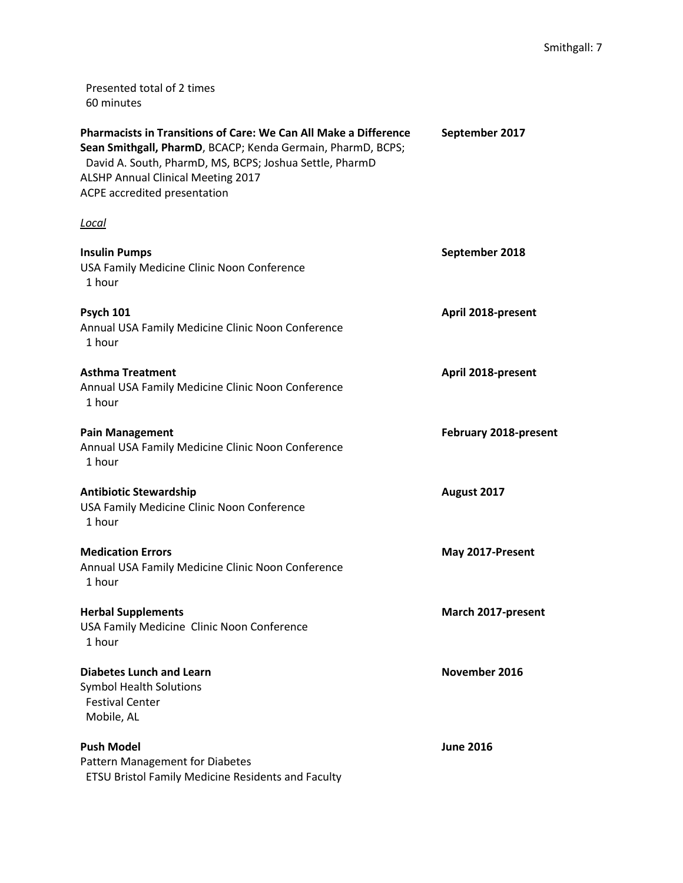Presented total of 2 times 60 minutes

| <b>Pharmacists in Transitions of Care: We Can All Make a Difference</b><br>Sean Smithgall, PharmD, BCACP; Kenda Germain, PharmD, BCPS;<br>David A. South, PharmD, MS, BCPS; Joshua Settle, PharmD<br>ALSHP Annual Clinical Meeting 2017<br>ACPE accredited presentation | September 2017        |
|-------------------------------------------------------------------------------------------------------------------------------------------------------------------------------------------------------------------------------------------------------------------------|-----------------------|
| <u>Local</u>                                                                                                                                                                                                                                                            |                       |
| <b>Insulin Pumps</b><br>USA Family Medicine Clinic Noon Conference<br>1 hour                                                                                                                                                                                            | September 2018        |
| <b>Psych 101</b><br>Annual USA Family Medicine Clinic Noon Conference<br>1 hour                                                                                                                                                                                         | April 2018-present    |
| <b>Asthma Treatment</b><br>Annual USA Family Medicine Clinic Noon Conference<br>1 hour                                                                                                                                                                                  | April 2018-present    |
| <b>Pain Management</b><br>Annual USA Family Medicine Clinic Noon Conference<br>1 hour                                                                                                                                                                                   | February 2018-present |
| <b>Antibiotic Stewardship</b><br>USA Family Medicine Clinic Noon Conference<br>1 hour                                                                                                                                                                                   | August 2017           |
| <b>Medication Errors</b><br>Annual USA Family Medicine Clinic Noon Conference<br>1 hour                                                                                                                                                                                 | May 2017-Present      |
| <b>Herbal Supplements</b><br>USA Family Medicine Clinic Noon Conference<br>1 hour                                                                                                                                                                                       | March 2017-present    |
| <b>Diabetes Lunch and Learn</b><br><b>Symbol Health Solutions</b><br><b>Festival Center</b><br>Mobile, AL                                                                                                                                                               | November 2016         |
| <b>Push Model</b><br>Pattern Management for Diabetes<br>ETSU Bristol Family Medicine Residents and Faculty                                                                                                                                                              | <b>June 2016</b>      |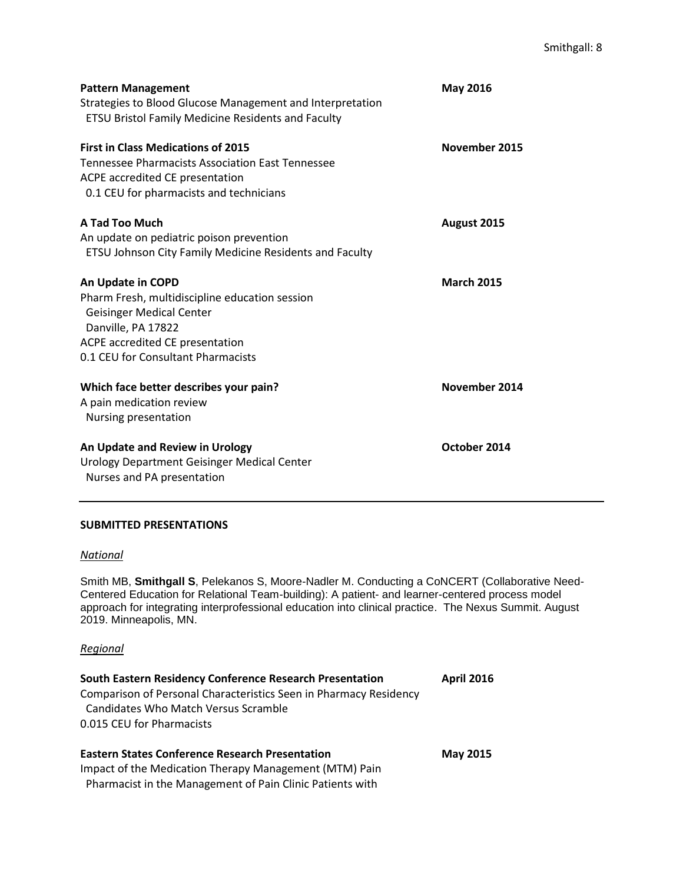| <b>Pattern Management</b><br>Strategies to Blood Glucose Management and Interpretation<br><b>ETSU Bristol Family Medicine Residents and Faculty</b>                                                   | <b>May 2016</b>   |
|-------------------------------------------------------------------------------------------------------------------------------------------------------------------------------------------------------|-------------------|
| <b>First in Class Medications of 2015</b><br>Tennessee Pharmacists Association East Tennessee<br>ACPE accredited CE presentation<br>0.1 CEU for pharmacists and technicians                           | November 2015     |
| A Tad Too Much<br>An update on pediatric poison prevention<br>ETSU Johnson City Family Medicine Residents and Faculty                                                                                 | August 2015       |
| An Update in COPD<br>Pharm Fresh, multidiscipline education session<br><b>Geisinger Medical Center</b><br>Danville, PA 17822<br>ACPE accredited CE presentation<br>0.1 CEU for Consultant Pharmacists | <b>March 2015</b> |
| Which face better describes your pain?<br>A pain medication review<br>Nursing presentation                                                                                                            | November 2014     |
| An Update and Review in Urology<br>Urology Department Geisinger Medical Center<br>Nurses and PA presentation                                                                                          | October 2014      |

#### **SUBMITTED PRESENTATIONS**

#### *[National](https://www.conferenceharvester.com/harvester2/reports/details.asp?PresentationID=985698)*

Smith MB, **Smithgall S**[, Pelekanos S, Moore-Nadler M. Conducting a CoNCERT \(Collaborative Need-](https://www.conferenceharvester.com/harvester2/reports/details.asp?PresentationID=985698)[Centered Education for Relational Team-building\): A patient-](https://www.conferenceharvester.com/harvester2/reports/details.asp?PresentationID=985698) and learner-centered process model [approach for integrating interprofessional education into clinical practice.](https://www.conferenceharvester.com/harvester2/reports/details.asp?PresentationID=985698) The Nexus Summit. August 2019. Minneapolis, MN.

#### *Regional*

| <b>South Eastern Residency Conference Research Presentation</b><br>Comparison of Personal Characteristics Seen in Pharmacy Residency<br><b>Candidates Who Match Versus Scramble</b><br>0.015 CEU for Pharmacists | <b>April 2016</b> |  |
|------------------------------------------------------------------------------------------------------------------------------------------------------------------------------------------------------------------|-------------------|--|
| <b>Eastern States Conference Research Presentation</b>                                                                                                                                                           | <b>May 2015</b>   |  |
| Impact of the Medication Therapy Management (MTM) Pain                                                                                                                                                           |                   |  |
| Pharmacist in the Management of Pain Clinic Patients with                                                                                                                                                        |                   |  |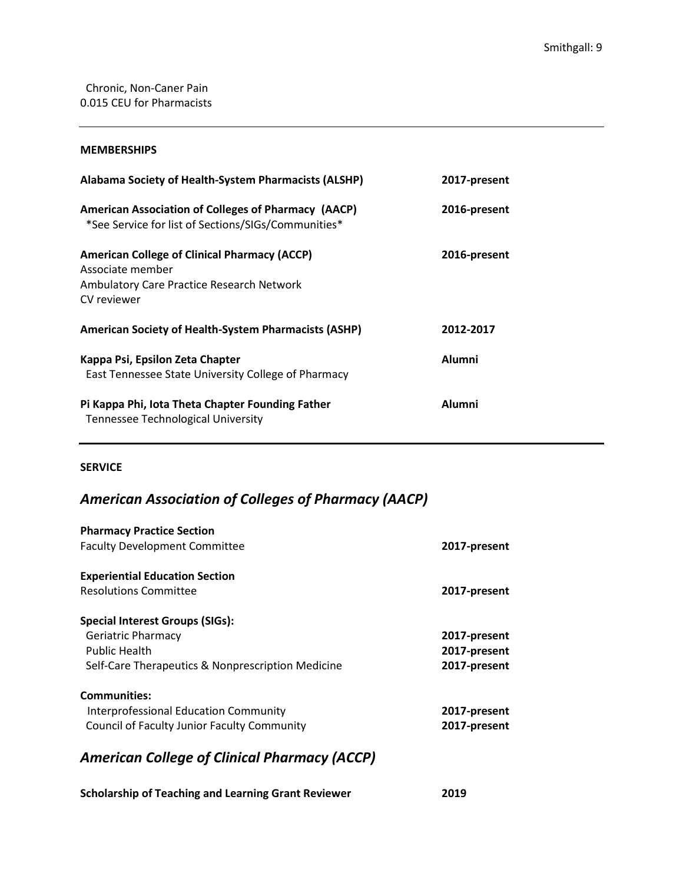#### **MEMBERSHIPS**

| Alabama Society of Health-System Pharmacists (ALSHP)                                                                                       | 2017-present  |
|--------------------------------------------------------------------------------------------------------------------------------------------|---------------|
| <b>American Association of Colleges of Pharmacy (AACP)</b><br>*See Service for list of Sections/SIGs/Communities*                          | 2016-present  |
| <b>American College of Clinical Pharmacy (ACCP)</b><br>Associate member<br><b>Ambulatory Care Practice Research Network</b><br>CV reviewer | 2016-present  |
| <b>American Society of Health-System Pharmacists (ASHP)</b>                                                                                | 2012-2017     |
| Kappa Psi, Epsilon Zeta Chapter<br>East Tennessee State University College of Pharmacy                                                     | <b>Alumni</b> |
| Pi Kappa Phi, lota Theta Chapter Founding Father<br><b>Tennessee Technological University</b>                                              | <b>Alumni</b> |

### **SERVICE**

## *American Association of Colleges of Pharmacy (AACP)*

| <b>Pharmacy Practice Section</b><br><b>Faculty Development Committee</b>                                                                         | 2017-present                                 |
|--------------------------------------------------------------------------------------------------------------------------------------------------|----------------------------------------------|
| <b>Experiential Education Section</b><br><b>Resolutions Committee</b>                                                                            | 2017-present                                 |
| <b>Special Interest Groups (SIGs):</b><br><b>Geriatric Pharmacy</b><br><b>Public Health</b><br>Self-Care Therapeutics & Nonprescription Medicine | 2017-present<br>2017-present<br>2017-present |
| <b>Communities:</b><br>Interprofessional Education Community<br><b>Council of Faculty Junior Faculty Community</b>                               | 2017-present<br>2017-present                 |

## *American College of Clinical Pharmacy (ACCP)*

**Scholarship of Teaching and Learning Grant Reviewer 2019**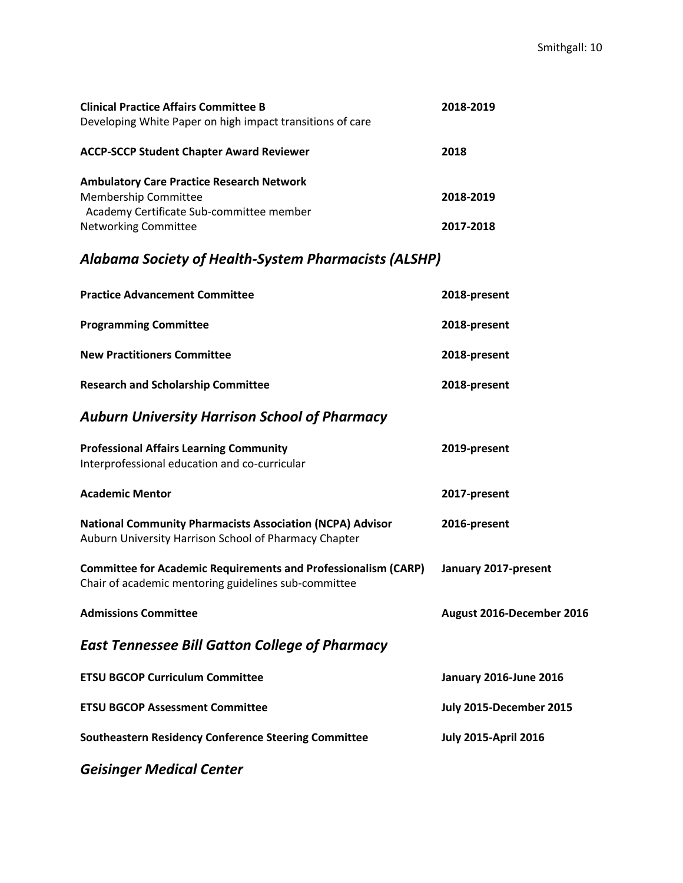| <b>Clinical Practice Affairs Committee B</b>              | 2018-2019 |
|-----------------------------------------------------------|-----------|
| Developing White Paper on high impact transitions of care |           |
| <b>ACCP-SCCP Student Chapter Award Reviewer</b>           | 2018      |
| <b>Ambulatory Care Practice Research Network</b>          |           |
| <b>Membership Committee</b>                               | 2018-2019 |
| Academy Certificate Sub-committee member                  |           |
| <b>Networking Committee</b>                               | 2017-2018 |

# *Alabama Society of Health-System Pharmacists (ALSHP)*

| <b>Practice Advancement Committee</b>                                                                                         | 2018-present                  |
|-------------------------------------------------------------------------------------------------------------------------------|-------------------------------|
| <b>Programming Committee</b>                                                                                                  | 2018-present                  |
| <b>New Practitioners Committee</b>                                                                                            | 2018-present                  |
| <b>Research and Scholarship Committee</b>                                                                                     | 2018-present                  |
| <b>Auburn University Harrison School of Pharmacy</b>                                                                          |                               |
| <b>Professional Affairs Learning Community</b><br>Interprofessional education and co-curricular                               | 2019-present                  |
| <b>Academic Mentor</b>                                                                                                        | 2017-present                  |
| <b>National Community Pharmacists Association (NCPA) Advisor</b><br>Auburn University Harrison School of Pharmacy Chapter     | 2016-present                  |
| <b>Committee for Academic Requirements and Professionalism (CARP)</b><br>Chair of academic mentoring guidelines sub-committee | January 2017-present          |
| <b>Admissions Committee</b>                                                                                                   | August 2016-December 2016     |
| <b>East Tennessee Bill Gatton College of Pharmacy</b>                                                                         |                               |
| <b>ETSU BGCOP Curriculum Committee</b>                                                                                        | <b>January 2016-June 2016</b> |
| <b>ETSU BGCOP Assessment Committee</b>                                                                                        | July 2015-December 2015       |
| <b>Southeastern Residency Conference Steering Committee</b>                                                                   | <b>July 2015-April 2016</b>   |
|                                                                                                                               |                               |

*Geisinger Medical Center*